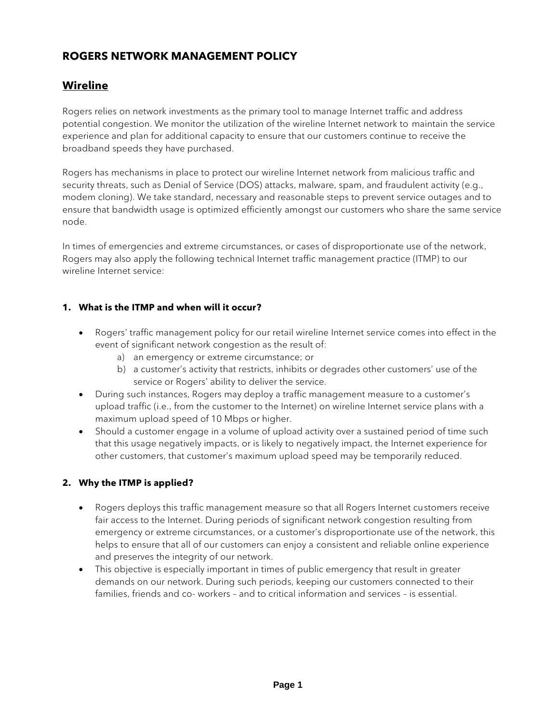# **ROGERS NETWORK MANAGEMENT POLICY**

### **Wireline**

Rogers relies on network investments as the primary tool to manage Internet traffic and address potential congestion. We monitor the utilization of the wireline Internet network to maintain the service experience and plan for additional capacity to ensure that our customers continue to receive the broadband speeds they have purchased.

Rogers has mechanisms in place to protect our wireline Internet network from malicious traffic and security threats, such as Denial of Service (DOS) attacks, malware, spam, and fraudulent activity (e.g., modem cloning). We take standard, necessary and reasonable steps to prevent service outages and to ensure that bandwidth usage is optimized efficiently amongst our customers who share the same service node.

In times of emergencies and extreme circumstances, or cases of disproportionate use of the network, Rogers may also apply the following technical Internet traffic management practice (ITMP) to our wireline Internet service:

#### **1. What is the ITMP and when will it occur?**

- Rogers' traffic management policy for our retail wireline Internet service comes into effect in the event of significant network congestion as the result of:
	- a) an emergency or extreme circumstance; or
	- b) a customer's activity that restricts, inhibits or degrades other customers' use of the service or Rogers' ability to deliver the service.
- During such instances, Rogers may deploy a traffic management measure to a customer's upload traffic (i.e., from the customer to the Internet) on wireline Internet service plans with a maximum upload speed of 10 Mbps or higher.
- Should a customer engage in a volume of upload activity over a sustained period of time such that this usage negatively impacts, or is likely to negatively impact, the Internet experience for other customers, that customer's maximum upload speed may be temporarily reduced.

#### **2. Why the ITMP is applied?**

- Rogers deploys this traffic management measure so that all Rogers Internet customers receive fair access to the Internet. During periods of significant network congestion resulting from emergency or extreme circumstances, or a customer's disproportionate use of the network, this helps to ensure that all of our customers can enjoy a consistent and reliable online experience and preserves the integrity of our network.
- This objective is especially important in times of public emergency that result in greater demands on our network. During such periods, keeping our customers connected to their families, friends and co- workers – and to critical information and services – is essential.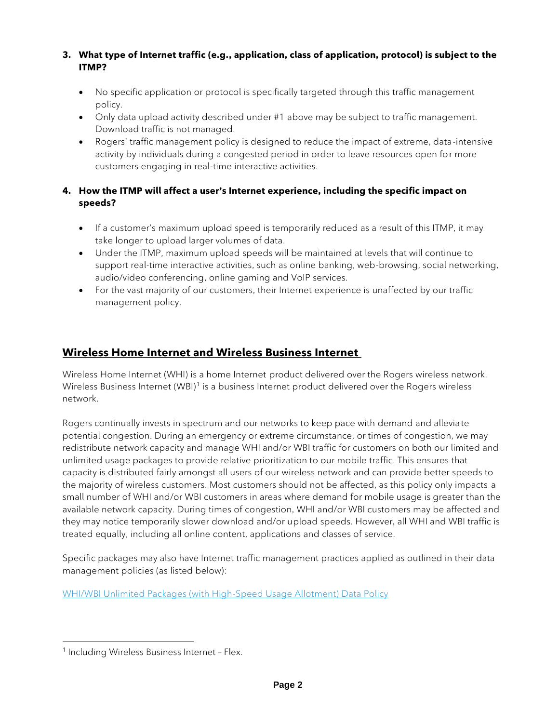#### **3. What type of Internet traffic (e.g., application, class of application, protocol) is subject to the ITMP?**

- No specific application or protocol is specifically targeted through this traffic management policy.
- Only data upload activity described under #1 above may be subject to traffic management. Download traffic is not managed.
- Rogers' traffic management policy is designed to reduce the impact of extreme, data-intensive activity by individuals during a congested period in order to leave resources open for more customers engaging in real-time interactive activities.

### **4. How the ITMP will affect a user's Internet experience, including the specific impact on speeds?**

- If a customer's maximum upload speed is temporarily reduced as a result of this ITMP, it may take longer to upload larger volumes of data.
- Under the ITMP, maximum upload speeds will be maintained at levels that will continue to support real-time interactive activities, such as online banking, web-browsing, social networking, audio/video conferencing, online gaming and VoIP services.
- For the vast majority of our customers, their Internet experience is unaffected by our traffic management policy.

## **Wireless Home Internet and Wireless Business Internet**

Wireless Home Internet (WHI) is a home Internet product delivered over the Rogers wireless network. Wireless Business Internet (WBI)<sup>1</sup> is a business Internet product delivered over the Rogers wireless network.

Rogers continually invests in spectrum and our networks to keep pace with demand and alleviate potential congestion. During an emergency or extreme circumstance, or times of congestion, we may redistribute network capacity and manage WHI and/or WBI traffic for customers on both our limited and unlimited usage packages to provide relative prioritization to our mobile traffic. This ensures that capacity is distributed fairly amongst all users of our wireless network and can provide better speeds to the majority of wireless customers. Most customers should not be affected, as this policy only impacts a small number of WHI and/or WBI customers in areas where demand for mobile usage is greater than the available network capacity. During times of congestion, WHI and/or WBI customers may be affected and they may notice temporarily slower download and/or upload speeds. However, all WHI and WBI traffic is treated equally, including all online content, applications and classes of service.

Specific packages may also have Internet traffic management practices applied as outlined in their data management policies (as listed below):

[WHI/WBI Unlimited Packages \(with High-Speed Usage Allotment\) Data Policy](https://www.rogers.com/cms/pdf/WHI-WBI-unlimited-with-high-speed-usage-allotment-data-policy-EN.pdf)

<sup>&</sup>lt;sup>1</sup> Including Wireless Business Internet - Flex.